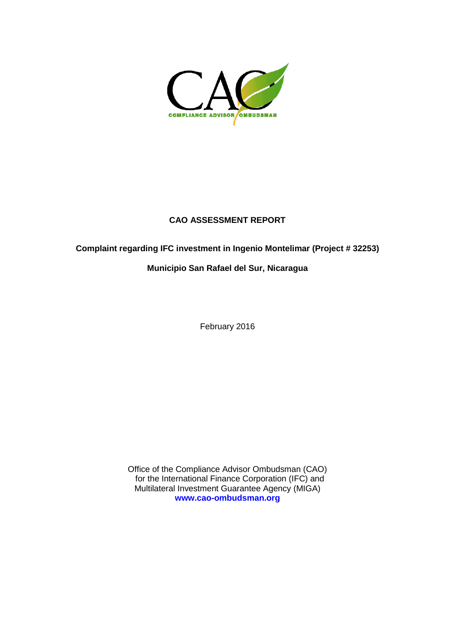

## **CAO ASSESSMENT REPORT**

## **Complaint regarding IFC investment in Ingenio Montelimar (Project # 32253)**

### **Municipio San Rafael del Sur, Nicaragua**

February 2016

Office of the Compliance Advisor Ombudsman (CAO) for the International Finance Corporation (IFC) and Multilateral Investment Guarantee Agency (MIGA) **[www.cao-ombudsman.org](http://www.cao-ombudsman.org/)**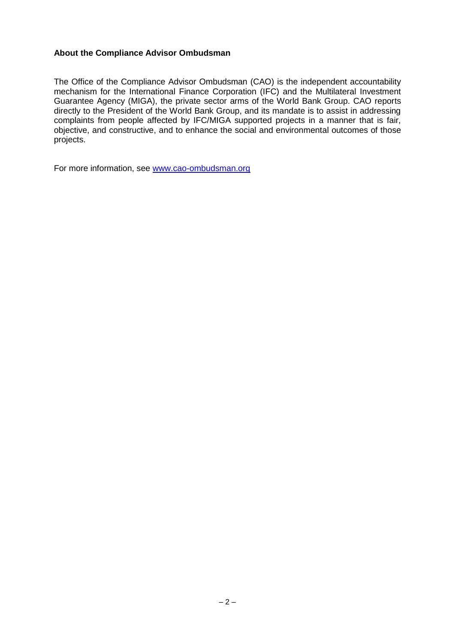#### **About the Compliance Advisor Ombudsman**

The Office of the Compliance Advisor Ombudsman (CAO) is the independent accountability mechanism for the International Finance Corporation (IFC) and the Multilateral Investment Guarantee Agency (MIGA), the private sector arms of the World Bank Group. CAO reports directly to the President of the World Bank Group, and its mandate is to assist in addressing complaints from people affected by IFC/MIGA supported projects in a manner that is fair, objective, and constructive, and to enhance the social and environmental outcomes of those projects.

For more information, see [www.cao-ombudsman.org](http://www.cao-ombudsman.org/)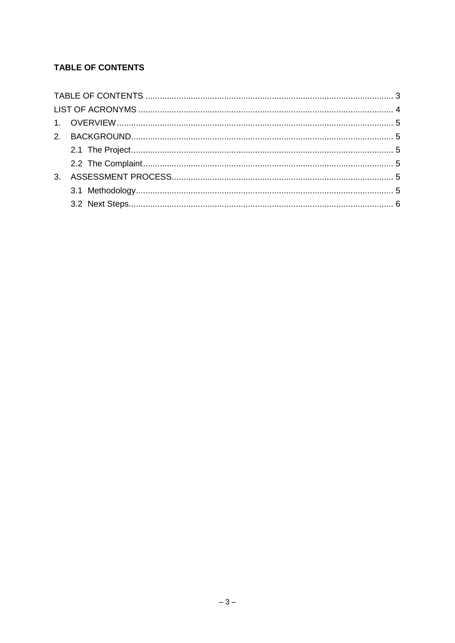# <span id="page-2-0"></span>**TABLE OF CONTENTS**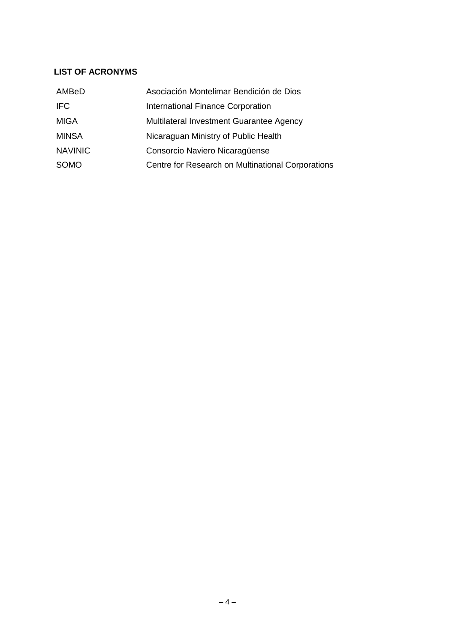## <span id="page-3-0"></span>**LIST OF ACRONYMS**

| AMBeD          | Asociación Montelimar Bendición de Dios           |
|----------------|---------------------------------------------------|
| <b>IFC</b>     | International Finance Corporation                 |
| <b>MIGA</b>    | Multilateral Investment Guarantee Agency          |
| <b>MINSA</b>   | Nicaraguan Ministry of Public Health              |
| <b>NAVINIC</b> | Consorcio Naviero Nicaragüense                    |
| <b>SOMO</b>    | Centre for Research on Multinational Corporations |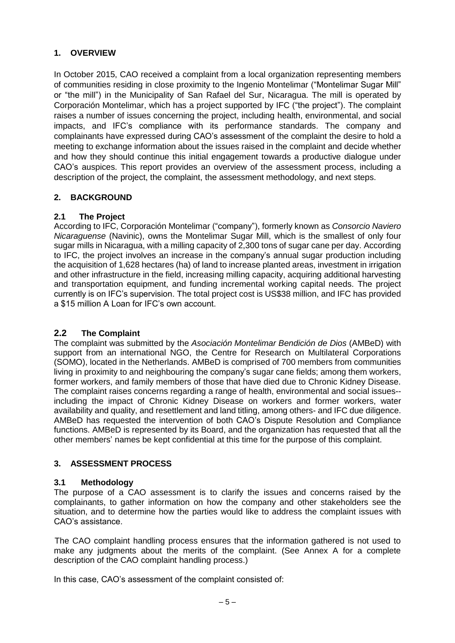## <span id="page-4-0"></span>**1. OVERVIEW**

In October 2015, CAO received a complaint from a local organization representing members of communities residing in close proximity to the Ingenio Montelimar ("Montelimar Sugar Mill" or "the mill") in the Municipality of San Rafael del Sur, Nicaragua. The mill is operated by Corporación Montelimar, which has a project supported by IFC ("the project"). The complaint raises a number of issues concerning the project, including health, environmental, and social impacts, and IFC's compliance with its performance standards. The company and complainants have expressed during CAO's assessment of the complaint the desire to hold a meeting to exchange information about the issues raised in the complaint and decide whether and how they should continue this initial engagement towards a productive dialogue under CAO's auspices. This report provides an overview of the assessment process, including a description of the project, the complaint, the assessment methodology, and next steps.

### <span id="page-4-1"></span>**2. BACKGROUND**

### <span id="page-4-2"></span>**2.1 The Project**

According to IFC, Corporación Montelimar ("company"), formerly known as *Consorcio Naviero Nicaraguense* (Navinic), owns the Montelimar Sugar Mill, which is the smallest of only four sugar mills in Nicaragua, with a milling capacity of 2,300 tons of sugar cane per day. According to IFC, the project involves an increase in the company's annual sugar production including the acquisition of 1,628 hectares (ha) of land to increase planted areas, investment in irrigation and other infrastructure in the field, increasing milling capacity, acquiring additional harvesting and transportation equipment, and funding incremental working capital needs. The project currently is on IFC's supervision. The total project cost is US\$38 million, and IFC has provided a \$15 million A Loan for IFC's own account.

### <span id="page-4-3"></span>**2.2 The Complaint**

The complaint was submitted by the *Asociación Montelimar Bendición de Dios* (AMBeD) with support from an international NGO, the Centre for Research on Multilateral Corporations (SOMO), located in the Netherlands. AMBeD is comprised of 700 members from communities living in proximity to and neighbouring the company's sugar cane fields; among them workers, former workers, and family members of those that have died due to Chronic Kidney Disease. The complaint raises concerns regarding a range of health, environmental and social issues- including the impact of Chronic Kidney Disease on workers and former workers, water availability and quality, and resettlement and land titling, among others- and IFC due diligence. AMBeD has requested the intervention of both CAO's Dispute Resolution and Compliance functions. AMBeD is represented by its Board, and the organization has requested that all the other members' names be kept confidential at this time for the purpose of this complaint.

### <span id="page-4-4"></span>**3. ASSESSMENT PROCESS**

### **3.1 Methodology**

The purpose of a CAO assessment is to clarify the issues and concerns raised by the complainants, to gather information on how the company and other stakeholders see the situation, and to determine how the parties would like to address the complaint issues with CAO's assistance.

The CAO complaint handling process ensures that the information gathered is not used to make any judgments about the merits of the complaint. (See Annex A for a complete description of the CAO complaint handling process.)

In this case, CAO's assessment of the complaint consisted of: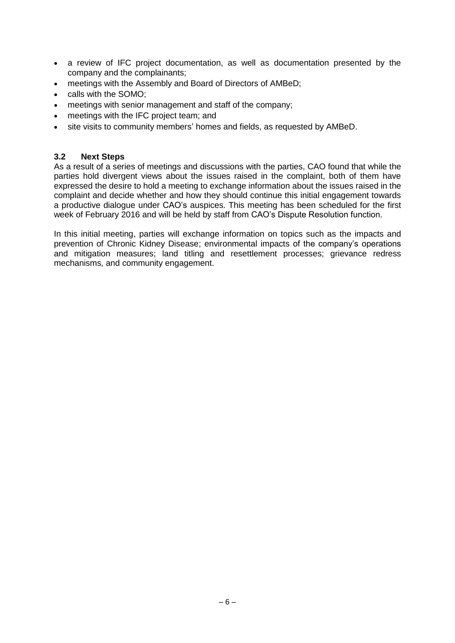- a review of IFC project documentation, as well as documentation presented by the company and the complainants;
- meetings with the Assembly and Board of Directors of AMBeD;
- calls with the SOMO;
- meetings with senior management and staff of the company;
- meetings with the IFC project team; and
- site visits to community members' homes and fields, as requested by AMBeD.

#### **3.2 Next Steps**

As a result of a series of meetings and discussions with the parties, CAO found that while the parties hold divergent views about the issues raised in the complaint, both of them have expressed the desire to hold a meeting to exchange information about the issues raised in the complaint and decide whether and how they should continue this initial engagement towards a productive dialogue under CAO's auspices. This meeting has been scheduled for the first week of February 2016 and will be held by staff from CAO's Dispute Resolution function.

In this initial meeting, parties will exchange information on topics such as the impacts and prevention of Chronic Kidney Disease; environmental impacts of the company's operations and mitigation measures; land titling and resettlement processes; grievance redress mechanisms, and community engagement.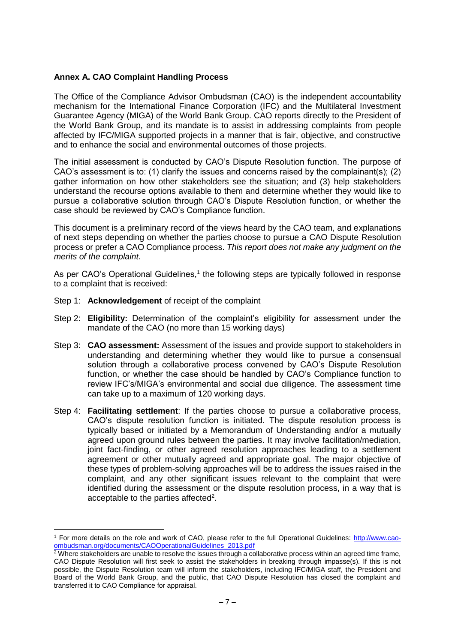#### **Annex A. CAO Complaint Handling Process**

The Office of the Compliance Advisor Ombudsman (CAO) is the independent accountability mechanism for the International Finance Corporation (IFC) and the Multilateral Investment Guarantee Agency (MIGA) of the World Bank Group. CAO reports directly to the President of the World Bank Group, and its mandate is to assist in addressing complaints from people affected by IFC/MIGA supported projects in a manner that is fair, objective, and constructive and to enhance the social and environmental outcomes of those projects.

The initial assessment is conducted by CAO's Dispute Resolution function. The purpose of CAO's assessment is to: (1) clarify the issues and concerns raised by the complainant(s); (2) gather information on how other stakeholders see the situation; and (3) help stakeholders understand the recourse options available to them and determine whether they would like to pursue a collaborative solution through CAO's Dispute Resolution function, or whether the case should be reviewed by CAO's Compliance function.

This document is a preliminary record of the views heard by the CAO team, and explanations of next steps depending on whether the parties choose to pursue a CAO Dispute Resolution process or prefer a CAO Compliance process. *This report does not make any judgment on the merits of the complaint.*

As per CAO's Operational Guidelines,<sup>1</sup> the following steps are typically followed in response to a complaint that is received:

Step 1: **Acknowledgement** of receipt of the complaint

 $\overline{a}$ 

- Step 2: **Eligibility:** Determination of the complaint's eligibility for assessment under the mandate of the CAO (no more than 15 working days)
- Step 3: **CAO assessment:** Assessment of the issues and provide support to stakeholders in understanding and determining whether they would like to pursue a consensual solution through a collaborative process convened by CAO's Dispute Resolution function, or whether the case should be handled by CAO's Compliance function to review IFC's/MIGA's environmental and social due diligence. The assessment time can take up to a maximum of 120 working days.
- Step 4: **Facilitating settlement**: If the parties choose to pursue a collaborative process, CAO's dispute resolution function is initiated. The dispute resolution process is typically based or initiated by a Memorandum of Understanding and/or a mutually agreed upon ground rules between the parties. It may involve facilitation/mediation, joint fact-finding, or other agreed resolution approaches leading to a settlement agreement or other mutually agreed and appropriate goal. The major objective of these types of problem-solving approaches will be to address the issues raised in the complaint, and any other significant issues relevant to the complaint that were identified during the assessment or the dispute resolution process, in a way that is acceptable to the parties affected<sup>2</sup>.

<sup>1</sup> For more details on the role and work of CAO, please refer to the full Operational Guidelines: [http://www.cao](http://www.cao-ombudsman.org/documents/CAOOperationalGuidelines_2013.pdf)[ombudsman.org/documents/CAOOperationalGuidelines\\_2013.pdf](http://www.cao-ombudsman.org/documents/CAOOperationalGuidelines_2013.pdf)

 $\frac{2}{3}$  Where stakeholders are unable to resolve the issues through a collaborative process within an agreed time frame, CAO Dispute Resolution will first seek to assist the stakeholders in breaking through impasse(s). If this is not possible, the Dispute Resolution team will inform the stakeholders, including IFC/MIGA staff, the President and Board of the World Bank Group, and the public, that CAO Dispute Resolution has closed the complaint and transferred it to CAO Compliance for appraisal.